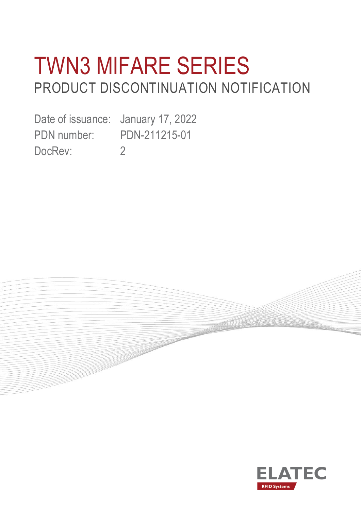# TWN3 MIFARE SERIES PRODUCT DISCONTINUATION NOTIFICATION

**Controller** 

Date of issuance: January 17, 2022 PDN number: PDN-211215-01 DocRev: 2

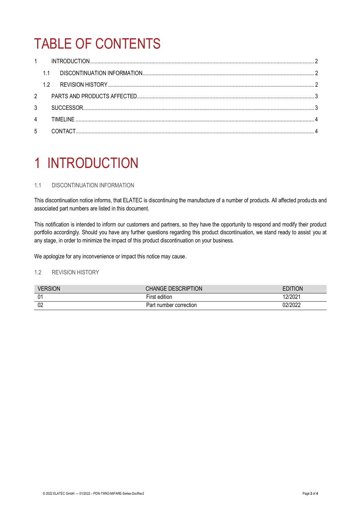## TABLE OF CONTENTS

|                | 1.1       |  |
|----------------|-----------|--|
|                | 1.2       |  |
| $\overline{2}$ |           |  |
| 3              |           |  |
| $\overline{4}$ | TIMFI INF |  |
| 5              |           |  |

### <span id="page-1-0"></span>1 INTRODUCTION

### <span id="page-1-1"></span>1.1 DISCONTINUATION INFORMATION

This discontinuation notice informs, that ELATEC is discontinuing the manufacture of a number of products. All affected products and associated part numbers are listed in this document.

This notification is intended to inform our customers and partners, so they have the opportunity to respond and modify their product portfolio accordingly. Should you have any further questions regarding this product discontinuation, we stand ready to assist you at any stage, in order to minimize the impact of this product discontinuation on your business.

We apologize for any inconvenience or impact this notice may cause.

### <span id="page-1-2"></span>1.2 REVISION HISTORY

| <b>VERSION</b> | CHANGE DESCRIPTION     | EDITION |
|----------------|------------------------|---------|
| 0 <sup>1</sup> | First edition          | 12/2021 |
| 02             | Part number correction | 02/2022 |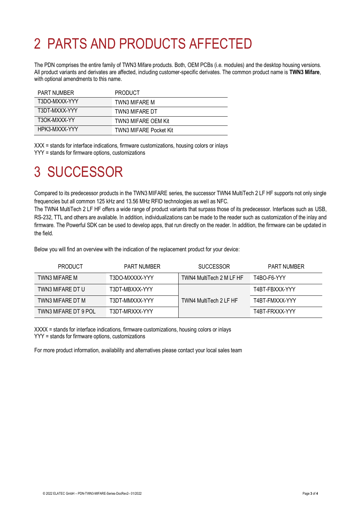### <span id="page-2-0"></span>2 PARTS AND PRODUCTS AFFECTED

The PDN comprises the entire family of TWN3 Mifare products. Both, OEM PCBs (i.e. modules) and the desktop housing versions. All product variants and derivates are affected, including customer-specific derivates. The common product name is **TWN3 Mifare**, with optional amendments to this name.

| <b>PART NUMBER</b> | <b>PRODUCT</b>                |
|--------------------|-------------------------------|
| T3DO-MXXX-YYY      | TWN3 MIFARE M                 |
| T3DT-MXXX-YYY      | TWN3 MIFARE DT                |
| T3OK-MXXX-YY       | <b>TWN3 MIFARE OEM Kit</b>    |
| HPK3-MXXX-YYY      | <b>TWN3 MIFARE Pocket Kit</b> |

XXX = stands for interface indications, firmware customizations, housing colors or inlays YYY = stands for firmware options, customizations

### <span id="page-2-1"></span>3 SUCCESSOR

Compared to its predecessor products in the TWN3 MIFARE series, the successor TWN4 MultiTech 2 LF HF supports not only single frequencies but all common 125 kHz and 13.56 MHz RFID technologies as well as NFC.

The TWN4 MultiTech 2 LF HF offers a wide range of product variants that surpass those of its predecessor. Interfaces such as USB, RS-232, TTL and others are available. In addition, individualizations can be made to the reader such as customization of the inlay and firmware. The Powerful SDK can be used to develop apps, that run directly on the reader. In addition, the firmware can be updated in the field.

Below you will find an overview with the indication of the replacement product for your device:

| <b>PRODUCT</b>       | <b>PART NUMBER</b> | <b>SUCCESSOR</b>         | <b>PART NUMBER</b> |
|----------------------|--------------------|--------------------------|--------------------|
| TWN3 MIFARE M        | T3DO-MXXXX-YYY     | TWN4 MultiTech 2 M LF HF | T4BO-F6-YYY        |
| TWN3 MIFARE DT U     | T3DT-MBXXX-YYY     |                          | T4BT-FBXXX-YYY     |
| TWN3 MIFARE DT M     | T3DT-MMXXX-YYY     | TWN4 MultiTech 2 LF HF   | T4BT-FMXXX-YYY     |
| TWN3 MIFARE DT 9 POL | T3DT-MRXXX-YYY     |                          | T4BT-FRXXX-YYY     |

XXXX = stands for interface indications, firmware customizations, housing colors or inlays YYY = stands for firmware options, customizations

For more product information, availability and alternatives please contact your local sales team